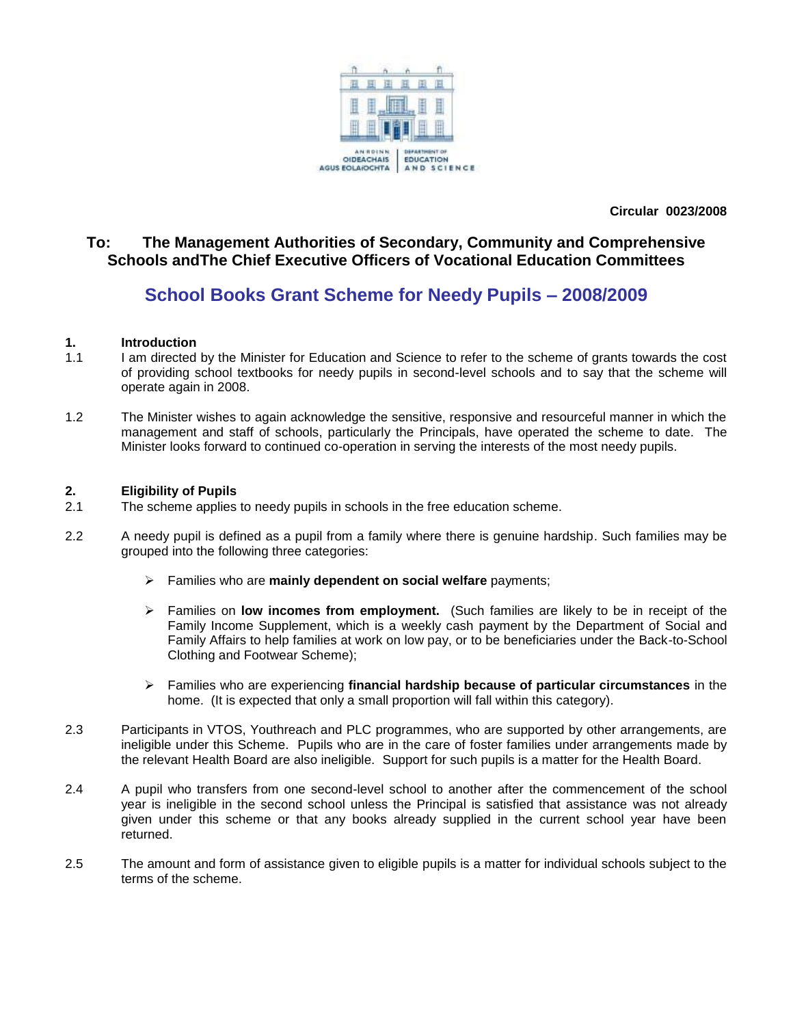

**Circular 0023/2008**

### **To: The Management Authorities of Secondary, Community and Comprehensive Schools andThe Chief Executive Officers of Vocational Education Committees**

## **School Books Grant Scheme for Needy Pupils – 2008/2009**

#### **1. Introduction**

- 1.1 I am directed by the Minister for Education and Science to refer to the scheme of grants towards the cost of providing school textbooks for needy pupils in second-level schools and to say that the scheme will operate again in 2008.
- 1.2 The Minister wishes to again acknowledge the sensitive, responsive and resourceful manner in which the management and staff of schools, particularly the Principals, have operated the scheme to date. The Minister looks forward to continued co-operation in serving the interests of the most needy pupils.

#### **2. Eligibility of Pupils**

- 2.1 The scheme applies to needy pupils in schools in the free education scheme.
- 2.2 A needy pupil is defined as a pupil from a family where there is genuine hardship. Such families may be grouped into the following three categories:
	- Families who are **mainly dependent on social welfare** payments;
	- Families on **low incomes from employment.** (Such families are likely to be in receipt of the Family Income Supplement, which is a weekly cash payment by the Department of Social and Family Affairs to help families at work on low pay, or to be beneficiaries under the Back-to-School Clothing and Footwear Scheme);
	- Families who are experiencing **financial hardship because of particular circumstances** in the home. (It is expected that only a small proportion will fall within this category).
- 2.3 Participants in VTOS, Youthreach and PLC programmes, who are supported by other arrangements, are ineligible under this Scheme. Pupils who are in the care of foster families under arrangements made by the relevant Health Board are also ineligible. Support for such pupils is a matter for the Health Board.
- 2.4 A pupil who transfers from one second-level school to another after the commencement of the school year is ineligible in the second school unless the Principal is satisfied that assistance was not already given under this scheme or that any books already supplied in the current school year have been returned.
- 2.5 The amount and form of assistance given to eligible pupils is a matter for individual schools subject to the terms of the scheme.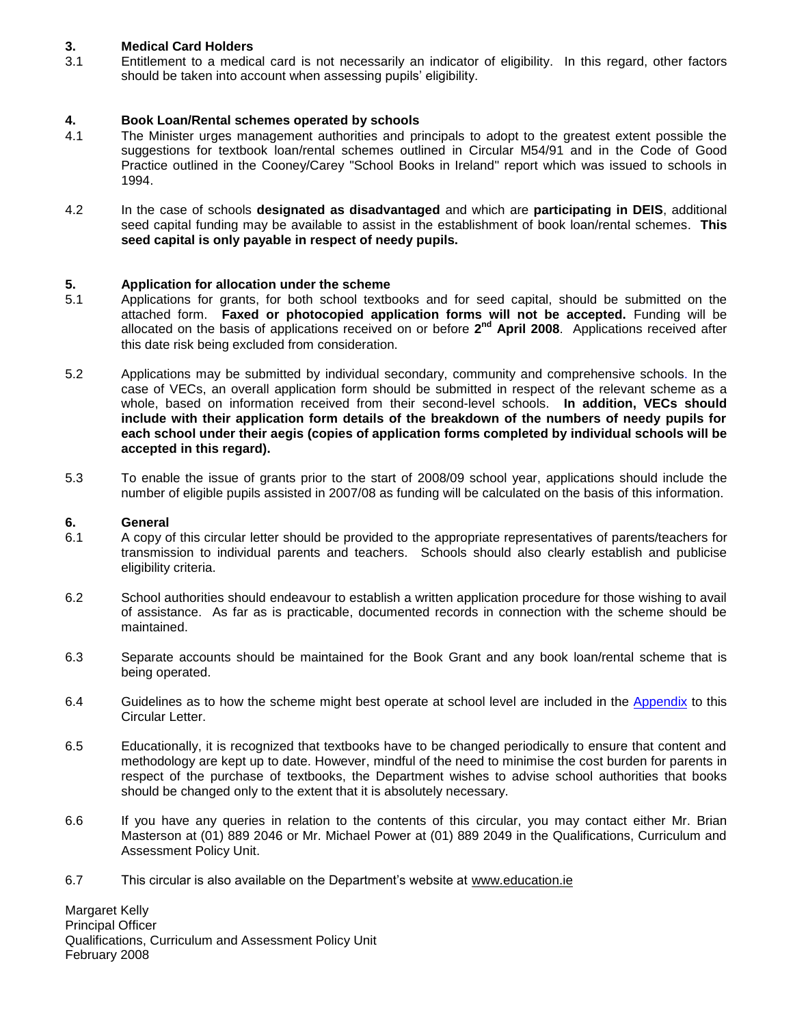#### **3. Medical Card Holders**

3.1 Entitlement to a medical card is not necessarily an indicator of eligibility. In this regard, other factors should be taken into account when assessing pupils' eligibility.

# **4. Book Loan/Rental schemes operated by schools**

- The Minister urges management authorities and principals to adopt to the greatest extent possible the suggestions for textbook loan/rental schemes outlined in Circular M54/91 and in the Code of Good Practice outlined in the Cooney/Carey "School Books in Ireland" report which was issued to schools in 1994.
- 4.2 In the case of schools **designated as disadvantaged** and which are **participating in DEIS**, additional seed capital funding may be available to assist in the establishment of book loan/rental schemes. **This seed capital is only payable in respect of needy pupils.**

# **5. Application for allocation under the scheme**

- Applications for grants, for both school textbooks and for seed capital, should be submitted on the attached form. **Faxed or photocopied application forms will not be accepted.** Funding will be allocated on the basis of applications received on or before 2<sup>nd</sup> April 2008. Applications received after this date risk being excluded from consideration.
- 5.2 Applications may be submitted by individual secondary, community and comprehensive schools. In the case of VECs, an overall application form should be submitted in respect of the relevant scheme as a whole, based on information received from their second-level schools. **In addition, VECs should include with their application form details of the breakdown of the numbers of needy pupils for each school under their aegis (copies of application forms completed by individual schools will be accepted in this regard).**
- 5.3 To enable the issue of grants prior to the start of 2008/09 school year, applications should include the number of eligible pupils assisted in 2007/08 as funding will be calculated on the basis of this information.

#### **6. General**

- 6.1 A copy of this circular letter should be provided to the appropriate representatives of parents/teachers for transmission to individual parents and teachers. Schools should also clearly establish and publicise eligibility criteria.
- 6.2 School authorities should endeavour to establish a written application procedure for those wishing to avail of assistance. As far as is practicable, documented records in connection with the scheme should be maintained.
- 6.3 Separate accounts should be maintained for the Book Grant and any book loan/rental scheme that is being operated.
- 6.4 Guidelines as to how the scheme might best operate at school level are included in the [Appendix](#page-3-0) to this Circular Letter.
- 6.5 Educationally, it is recognized that textbooks have to be changed periodically to ensure that content and methodology are kept up to date. However, mindful of the need to minimise the cost burden for parents in respect of the purchase of textbooks, the Department wishes to advise school authorities that books should be changed only to the extent that it is absolutely necessary.
- 6.6 If you have any queries in relation to the contents of this circular, you may contact either Mr. Brian Masterson at (01) 889 2046 or Mr. Michael Power at (01) 889 2049 in the Qualifications, Curriculum and Assessment Policy Unit.
- 6.7 This circular is also available on the Department's website at www.education.ie

Margaret Kelly Principal Officer Qualifications, Curriculum and Assessment Policy Unit February 2008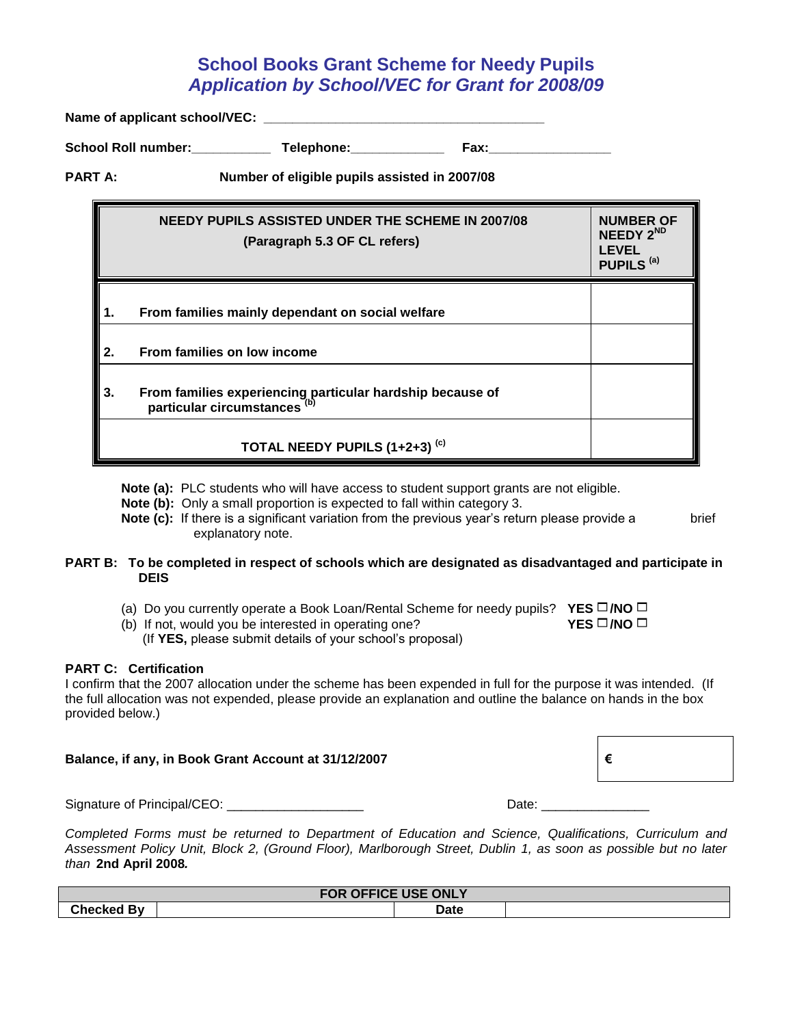## **School Books Grant Scheme for Needy Pupils**  *Application by School/VEC for Grant for 2008/09*

Name of applicant school/VEC:

School Roll number: \_\_\_\_\_\_\_\_\_\_\_\_\_ Telephone: \_\_\_\_\_\_\_\_\_\_\_\_\_\_\_ Fax: \_\_\_\_\_\_\_\_\_\_\_\_

**PART A: Number of eligible pupils assisted in 2007/08**

|    | <b>NEEDY PUPILS ASSISTED UNDER THE SCHEME IN 2007/08</b><br>(Paragraph 5.3 OF CL refers)             | <b>NUMBER OF</b><br>NEEDY 2 <sup>ND</sup><br>LEVEL<br>PUPILS <sup>(a)</sup> |
|----|------------------------------------------------------------------------------------------------------|-----------------------------------------------------------------------------|
| 1. | From families mainly dependant on social welfare                                                     |                                                                             |
| 2. | From families on low income                                                                          |                                                                             |
| 3. | From families experiencing particular hardship because of<br>particular circumstances <sup>(b)</sup> |                                                                             |
|    | TOTAL NEEDY PUPILS (1+2+3) <sup>(c)</sup>                                                            |                                                                             |

**Note (a):** PLC students who will have access to student support grants are not eligible.

**Note (b):** Only a small proportion is expected to fall within category 3.

**Note (c):** If there is a significant variation from the previous year's return please provide a brief explanatory note.

#### **PART B: To be completed in respect of schools which are designated as disadvantaged and participate in DEIS**

(a) Do you currently operate a Book Loan/Rental Scheme for needy pupils? **YES /NO** 

(b) If not, would you be interested in operating one? **YES**  $\Box$ **/NO**  $\Box$ 

(If **YES,** please submit details of your school's proposal)

#### **PART C: Certification**

I confirm that the 2007 allocation under the scheme has been expended in full for the purpose it was intended. (If the full allocation was not expended, please provide an explanation and outline the balance on hands in the box provided below.)

#### **Balance, if any, in Book Grant Account at 31/12/2007 €**

Signature of Principal/CEO: \_\_\_\_\_\_\_\_\_\_\_\_\_\_\_\_\_\_\_ Date: \_\_\_\_\_\_\_\_\_\_\_\_\_\_\_

*Completed Forms must be returned to Department of Education and Science, Qualifications, Curriculum and Assessment Policy Unit, Block 2, (Ground Floor), Marlborough Street, Dublin 1, as soon as possible but no later than* **2nd April 2008***.*

| FOR OFFICE USE ONLY           |  |             |  |  |  |
|-------------------------------|--|-------------|--|--|--|
| ົ <sup>∿</sup> ≏ckeα ∟.<br>Bv |  | <b>Date</b> |  |  |  |